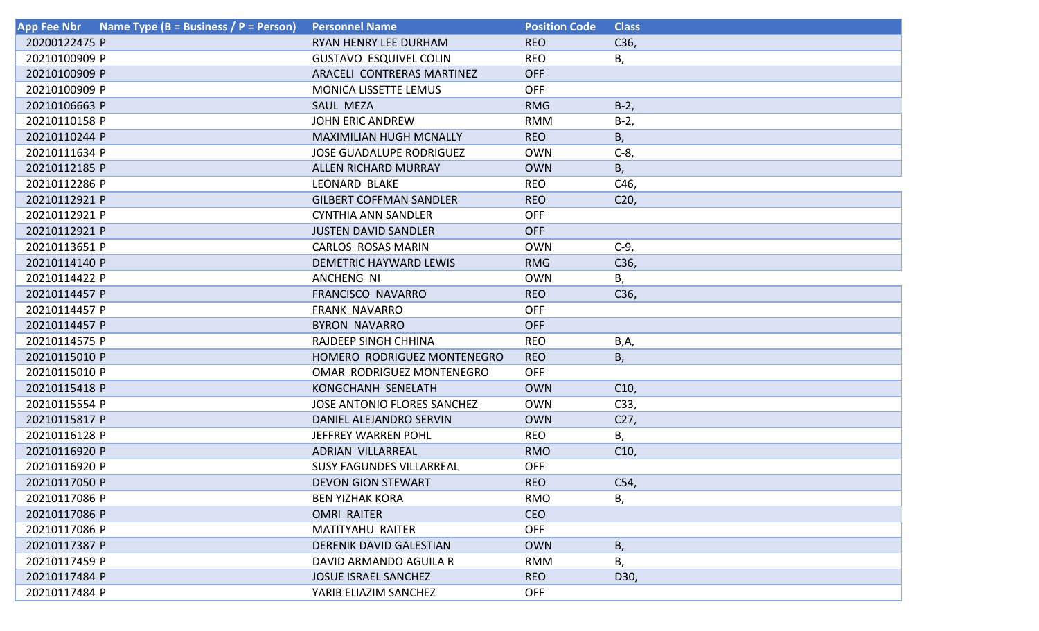| Name Type (B = Business / P = Person)<br><b>App Fee Nbr</b> | <b>Personnel Name</b>           | <b>Position Code</b> | <b>Class</b>    |
|-------------------------------------------------------------|---------------------------------|----------------------|-----------------|
| 20200122475 P                                               | RYAN HENRY LEE DURHAM           | <b>REO</b>           | C36,            |
| 20210100909 P                                               | <b>GUSTAVO ESQUIVEL COLIN</b>   | <b>REO</b>           | В,              |
| 20210100909 P                                               | ARACELI CONTRERAS MARTINEZ      | <b>OFF</b>           |                 |
| 20210100909 P                                               | MONICA LISSETTE LEMUS           | <b>OFF</b>           |                 |
| 20210106663 P                                               | SAUL MEZA                       | <b>RMG</b>           | $B-2$           |
| 20210110158 P                                               | <b>JOHN ERIC ANDREW</b>         | <b>RMM</b>           | $B-2$           |
| 20210110244 P                                               | <b>MAXIMILIAN HUGH MCNALLY</b>  | <b>REO</b>           | B,              |
| 20210111634 P                                               | <b>JOSE GUADALUPE RODRIGUEZ</b> | <b>OWN</b>           | $C-8$           |
| 20210112185 P                                               | <b>ALLEN RICHARD MURRAY</b>     | <b>OWN</b>           | B,              |
| 20210112286 P                                               | <b>LEONARD BLAKE</b>            | <b>REO</b>           | C46,            |
| 20210112921 P                                               | <b>GILBERT COFFMAN SANDLER</b>  | <b>REO</b>           | C <sub>20</sub> |
| 20210112921 P                                               | <b>CYNTHIA ANN SANDLER</b>      | <b>OFF</b>           |                 |
| 20210112921 P                                               | <b>JUSTEN DAVID SANDLER</b>     | <b>OFF</b>           |                 |
| 20210113651 P                                               | <b>CARLOS ROSAS MARIN</b>       | <b>OWN</b>           | $C-9$           |
| 20210114140 P                                               | DEMETRIC HAYWARD LEWIS          | <b>RMG</b>           | C36,            |
| 20210114422 P                                               | ANCHENG NI                      | <b>OWN</b>           | В,              |
| 20210114457 P                                               | FRANCISCO NAVARRO               | <b>REO</b>           | C36,            |
| 20210114457 P                                               | <b>FRANK NAVARRO</b>            | <b>OFF</b>           |                 |
| 20210114457 P                                               | <b>BYRON NAVARRO</b>            | <b>OFF</b>           |                 |
| 20210114575 P                                               | RAJDEEP SINGH CHHINA            | <b>REO</b>           | B,A,            |
| 20210115010 P                                               | HOMERO RODRIGUEZ MONTENEGRO     | <b>REO</b>           | Β,              |
| 20210115010 P                                               | OMAR RODRIGUEZ MONTENEGRO       | <b>OFF</b>           |                 |
| 20210115418 P                                               | KONGCHANH SENELATH              | <b>OWN</b>           | C10,            |
| 20210115554 P                                               | JOSE ANTONIO FLORES SANCHEZ     | <b>OWN</b>           | C33,            |
| 20210115817 P                                               | DANIEL ALEJANDRO SERVIN         | <b>OWN</b>           | C27,            |
| 20210116128 P                                               | JEFFREY WARREN POHL             | <b>REO</b>           | В,              |
| 20210116920 P                                               | ADRIAN VILLARREAL               | <b>RMO</b>           | C10,            |
| 20210116920 P                                               | <b>SUSY FAGUNDES VILLARREAL</b> | <b>OFF</b>           |                 |
| 20210117050 P                                               | <b>DEVON GION STEWART</b>       | <b>REO</b>           | C54,            |
| 20210117086 P                                               | <b>BEN YIZHAK KORA</b>          | <b>RMO</b>           | В,              |
| 20210117086 P                                               | <b>OMRI RAITER</b>              | <b>CEO</b>           |                 |
| 20210117086 P                                               | <b>MATITYAHU RAITER</b>         | <b>OFF</b>           |                 |
| 20210117387 P                                               | <b>DERENIK DAVID GALESTIAN</b>  | <b>OWN</b>           | B,              |
| 20210117459 P                                               | DAVID ARMANDO AGUILA R          | <b>RMM</b>           | В,              |
| 20210117484 P                                               | <b>JOSUE ISRAEL SANCHEZ</b>     | <b>REO</b>           | D30,            |
| 20210117484 P                                               | YARIB ELIAZIM SANCHEZ           | <b>OFF</b>           |                 |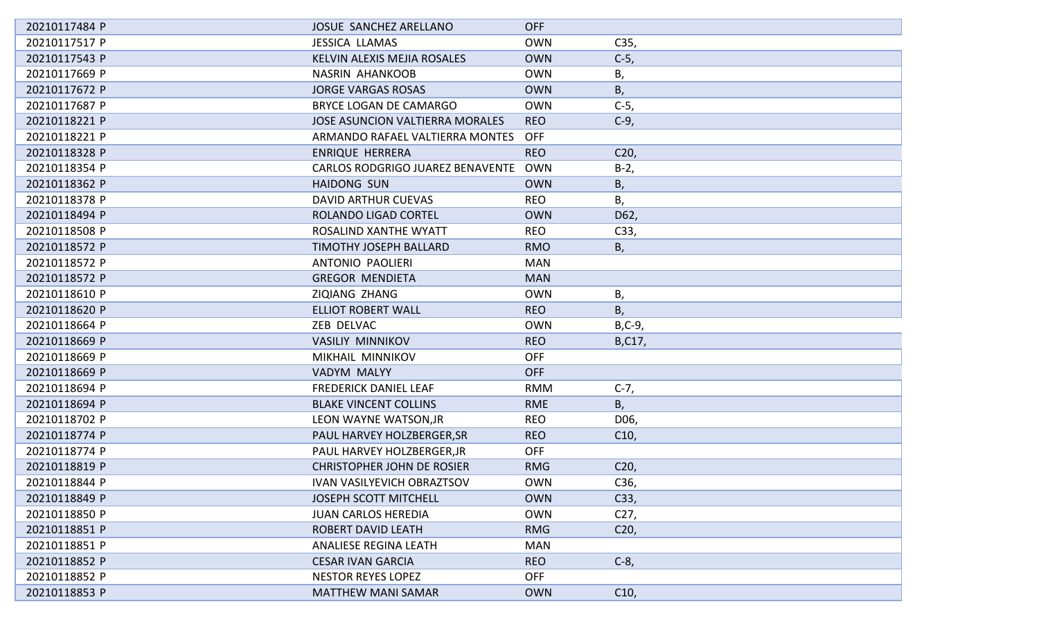| 20210117484 P | JOSUE SANCHEZ ARELLANO                 | <b>OFF</b> |                 |
|---------------|----------------------------------------|------------|-----------------|
| 20210117517 P | <b>JESSICA LLAMAS</b>                  | <b>OWN</b> | C35,            |
| 20210117543 P | KELVIN ALEXIS MEJIA ROSALES            | <b>OWN</b> | $C-5$ ,         |
| 20210117669 P | <b>NASRIN AHANKOOB</b>                 | <b>OWN</b> | В,              |
| 20210117672 P | <b>JORGE VARGAS ROSAS</b>              | <b>OWN</b> | Β,              |
| 20210117687 P | <b>BRYCE LOGAN DE CAMARGO</b>          | <b>OWN</b> | $C-5$ ,         |
| 20210118221 P | <b>JOSE ASUNCION VALTIERRA MORALES</b> | <b>REO</b> | $C-9$ ,         |
| 20210118221 P | ARMANDO RAFAEL VALTIERRA MONTES        | <b>OFF</b> |                 |
| 20210118328 P | <b>ENRIQUE HERRERA</b>                 | <b>REO</b> | C <sub>20</sub> |
| 20210118354 P | CARLOS RODGRIGO JUAREZ BENAVENTE       | <b>OWN</b> | $B-2$           |
| 20210118362 P | <b>HAIDONG SUN</b>                     | <b>OWN</b> | Β,              |
| 20210118378 P | DAVID ARTHUR CUEVAS                    | <b>REO</b> | В,              |
| 20210118494 P | ROLANDO LIGAD CORTEL                   | <b>OWN</b> | D62,            |
| 20210118508 P | ROSALIND XANTHE WYATT                  | <b>REO</b> | C33,            |
| 20210118572 P | <b>TIMOTHY JOSEPH BALLARD</b>          | <b>RMO</b> | В,              |
| 20210118572 P | <b>ANTONIO PAOLIERI</b>                | <b>MAN</b> |                 |
| 20210118572 P | <b>GREGOR MENDIETA</b>                 | <b>MAN</b> |                 |
| 20210118610 P | ZIQIANG ZHANG                          | <b>OWN</b> | Β,              |
| 20210118620 P | <b>ELLIOT ROBERT WALL</b>              | <b>REO</b> | В,              |
| 20210118664 P | ZEB DELVAC                             | <b>OWN</b> | $B, C-9,$       |
| 20210118669 P | <b>VASILIY MINNIKOV</b>                | <b>REO</b> | B,C17,          |
| 20210118669 P | MIKHAIL MINNIKOV                       | <b>OFF</b> |                 |
| 20210118669 P | VADYM MALYY                            | <b>OFF</b> |                 |
| 20210118694 P | <b>FREDERICK DANIEL LEAF</b>           | <b>RMM</b> | $C-7,$          |
| 20210118694 P | <b>BLAKE VINCENT COLLINS</b>           | <b>RME</b> | В,              |
| 20210118702 P | LEON WAYNE WATSON, JR                  | <b>REO</b> | D06,            |
| 20210118774 P | PAUL HARVEY HOLZBERGER, SR             | <b>REO</b> | C10,            |
| 20210118774 P | PAUL HARVEY HOLZBERGER, JR             | <b>OFF</b> |                 |
| 20210118819 P | <b>CHRISTOPHER JOHN DE ROSIER</b>      | <b>RMG</b> | C <sub>20</sub> |
| 20210118844 P | <b>IVAN VASILYEVICH OBRAZTSOV</b>      | <b>OWN</b> | C36,            |
| 20210118849 P | <b>JOSEPH SCOTT MITCHELL</b>           | <b>OWN</b> | C33,            |
| 20210118850 P | <b>JUAN CARLOS HEREDIA</b>             | <b>OWN</b> | C <sub>27</sub> |
| 20210118851 P | <b>ROBERT DAVID LEATH</b>              | <b>RMG</b> | C <sub>20</sub> |
| 20210118851 P | ANALIESE REGINA LEATH                  | <b>MAN</b> |                 |
| 20210118852 P | <b>CESAR IVAN GARCIA</b>               | <b>REO</b> | $C-8,$          |
| 20210118852 P | <b>NESTOR REYES LOPEZ</b>              | <b>OFF</b> |                 |
| 20210118853 P | <b>MATTHEW MANI SAMAR</b>              | <b>OWN</b> | C10,            |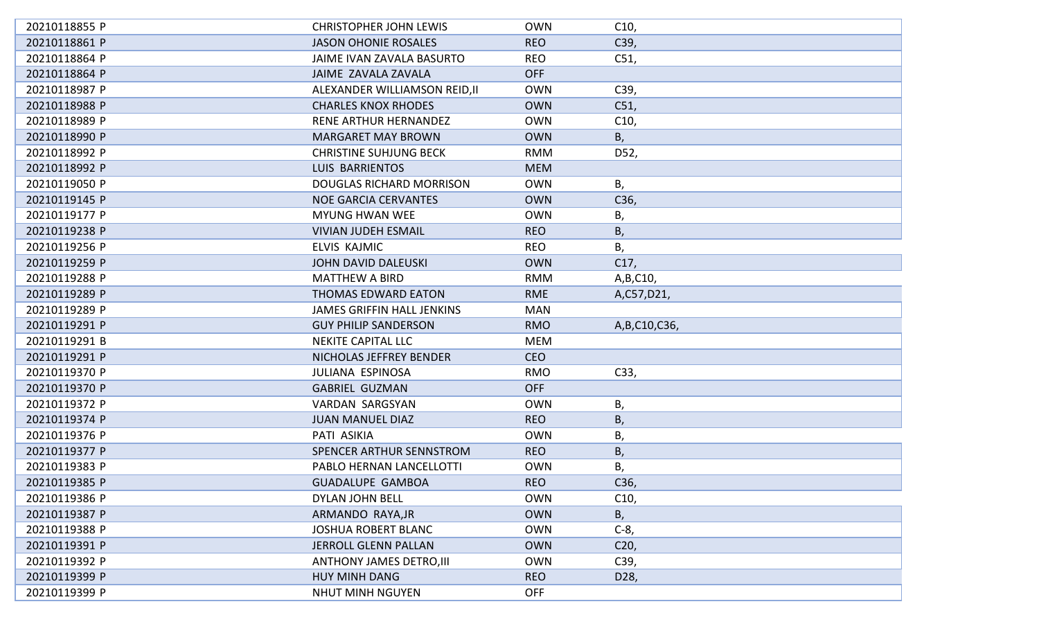| 20210118855 P | <b>CHRISTOPHER JOHN LEWIS</b>     | <b>OWN</b> | C10,            |
|---------------|-----------------------------------|------------|-----------------|
| 20210118861 P | <b>JASON OHONIE ROSALES</b>       | <b>REO</b> | C39,            |
| 20210118864 P | JAIME IVAN ZAVALA BASURTO         | <b>REO</b> | C51,            |
| 20210118864 P | <b>JAIME ZAVALA ZAVALA</b>        | <b>OFF</b> |                 |
| 20210118987 P | ALEXANDER WILLIAMSON REID, II     | <b>OWN</b> | C39,            |
| 20210118988 P | <b>CHARLES KNOX RHODES</b>        | <b>OWN</b> | C51,            |
| 20210118989 P | RENE ARTHUR HERNANDEZ             | <b>OWN</b> | C10,            |
| 20210118990 P | <b>MARGARET MAY BROWN</b>         | <b>OWN</b> | В,              |
| 20210118992 P | <b>CHRISTINE SUHJUNG BECK</b>     | <b>RMM</b> | D52,            |
| 20210118992 P | LUIS BARRIENTOS                   | <b>MEM</b> |                 |
| 20210119050 P | <b>DOUGLAS RICHARD MORRISON</b>   | <b>OWN</b> | В,              |
| 20210119145 P | <b>NOE GARCIA CERVANTES</b>       | <b>OWN</b> | C36,            |
| 20210119177 P | <b>MYUNG HWAN WEE</b>             | <b>OWN</b> | В,              |
| 20210119238 P | <b>VIVIAN JUDEH ESMAIL</b>        | <b>REO</b> | В,              |
| 20210119256 P | ELVIS KAJMIC                      | <b>REO</b> | В,              |
| 20210119259 P | <b>JOHN DAVID DALEUSKI</b>        | <b>OWN</b> | C17,            |
| 20210119288 P | <b>MATTHEW A BIRD</b>             | <b>RMM</b> | A, B, C10,      |
| 20210119289 P | THOMAS EDWARD EATON               | <b>RME</b> | A,C57,D21,      |
| 20210119289 P | <b>JAMES GRIFFIN HALL JENKINS</b> | <b>MAN</b> |                 |
| 20210119291 P | <b>GUY PHILIP SANDERSON</b>       | <b>RMO</b> | A, B, C10, C36, |
| 20210119291 B | <b>NEKITE CAPITAL LLC</b>         | <b>MEM</b> |                 |
| 20210119291 P | NICHOLAS JEFFREY BENDER           | <b>CEO</b> |                 |
| 20210119370 P | <b>JULIANA ESPINOSA</b>           | <b>RMO</b> | C33,            |
| 20210119370 P | <b>GABRIEL GUZMAN</b>             | <b>OFF</b> |                 |
| 20210119372 P | VARDAN SARGSYAN                   | <b>OWN</b> | В,              |
| 20210119374 P | <b>JUAN MANUEL DIAZ</b>           | <b>REO</b> | Β,              |
| 20210119376 P | PATI ASIKIA                       | <b>OWN</b> | Β,              |
| 20210119377 P | SPENCER ARTHUR SENNSTROM          | <b>REO</b> | Β,              |
| 20210119383 P | PABLO HERNAN LANCELLOTTI          | <b>OWN</b> | В,              |
| 20210119385 P | <b>GUADALUPE GAMBOA</b>           | <b>REO</b> | C36,            |
| 20210119386 P | <b>DYLAN JOHN BELL</b>            | <b>OWN</b> | C10,            |
| 20210119387 P | ARMANDO RAYA, JR                  | <b>OWN</b> | В,              |
| 20210119388 P | JOSHUA ROBERT BLANC               | <b>OWN</b> | $C-8$           |
| 20210119391 P | <b>JERROLL GLENN PALLAN</b>       | <b>OWN</b> | C <sub>20</sub> |
| 20210119392 P | <b>ANTHONY JAMES DETRO, III</b>   | <b>OWN</b> | C39,            |
| 20210119399 P | HUY MINH DANG                     | <b>REO</b> | D28,            |
| 20210119399 P | NHUT MINH NGUYEN                  | <b>OFF</b> |                 |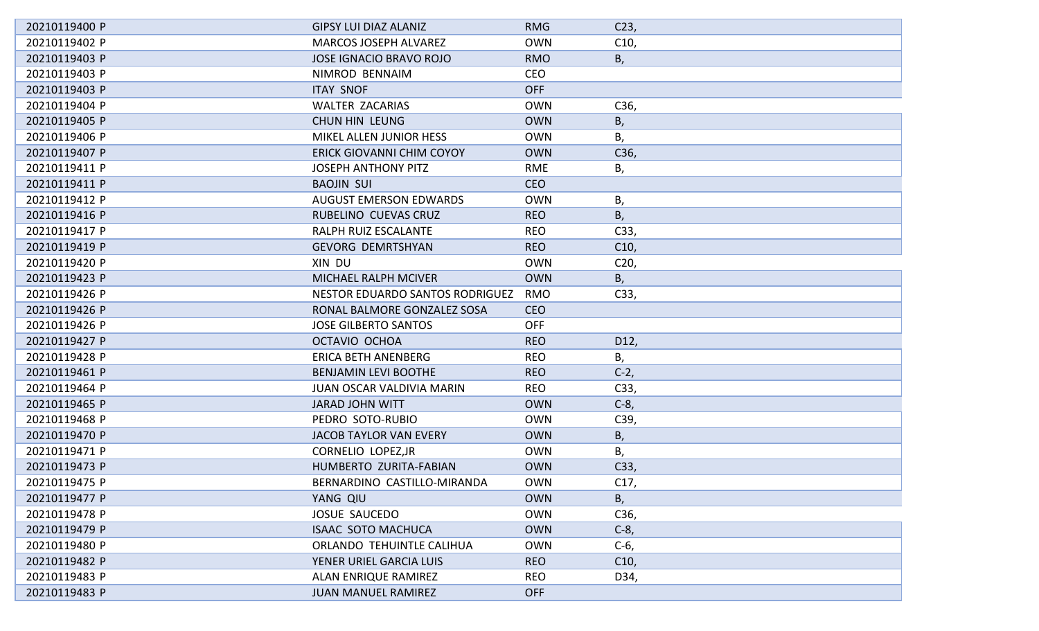| 20210119400 P | <b>GIPSY LUI DIAZ ALANIZ</b>     | <b>RMG</b> | C <sub>23</sub> |
|---------------|----------------------------------|------------|-----------------|
| 20210119402 P | <b>MARCOS JOSEPH ALVAREZ</b>     | <b>OWN</b> | C10,            |
| 20210119403 P | <b>JOSE IGNACIO BRAVO ROJO</b>   | <b>RMO</b> | B,              |
| 20210119403 P | NIMROD BENNAIM                   | <b>CEO</b> |                 |
| 20210119403 P | <b>ITAY SNOF</b>                 | <b>OFF</b> |                 |
| 20210119404 P | <b>WALTER ZACARIAS</b>           | <b>OWN</b> | C36,            |
| 20210119405 P | <b>CHUN HIN LEUNG</b>            | <b>OWN</b> | Β,              |
| 20210119406 P | MIKEL ALLEN JUNIOR HESS          | <b>OWN</b> | Β,              |
| 20210119407 P | <b>ERICK GIOVANNI CHIM COYOY</b> | <b>OWN</b> | C36,            |
| 20210119411 P | <b>JOSEPH ANTHONY PITZ</b>       | <b>RME</b> | В,              |
| 20210119411 P | <b>BAOJIN SUI</b>                | <b>CEO</b> |                 |
| 20210119412 P | <b>AUGUST EMERSON EDWARDS</b>    | <b>OWN</b> | В,              |
| 20210119416 P | RUBELINO CUEVAS CRUZ             | <b>REO</b> | B,              |
| 20210119417 P | RALPH RUIZ ESCALANTE             | <b>REO</b> | C33,            |
| 20210119419 P | <b>GEVORG DEMRTSHYAN</b>         | <b>REO</b> | C10,            |
| 20210119420 P | XIN DU                           | <b>OWN</b> | C <sub>20</sub> |
| 20210119423 P | <b>MICHAEL RALPH MCIVER</b>      | <b>OWN</b> | В,              |
| 20210119426 P | NESTOR EDUARDO SANTOS RODRIGUEZ  | <b>RMO</b> | C33,            |
| 20210119426 P | RONAL BALMORE GONZALEZ SOSA      | <b>CEO</b> |                 |
| 20210119426 P | <b>JOSE GILBERTO SANTOS</b>      | <b>OFF</b> |                 |
| 20210119427 P | OCTAVIO OCHOA                    | <b>REO</b> | D12,            |
| 20210119428 P | <b>ERICA BETH ANENBERG</b>       | <b>REO</b> | Β,              |
| 20210119461 P | <b>BENJAMIN LEVI BOOTHE</b>      | <b>REO</b> | $C-2,$          |
| 20210119464 P | <b>JUAN OSCAR VALDIVIA MARIN</b> | <b>REO</b> | C33,            |
| 20210119465 P | <b>JARAD JOHN WITT</b>           | <b>OWN</b> | $C-8$ ,         |
| 20210119468 P | PEDRO SOTO-RUBIO                 | <b>OWN</b> | C39,            |
| 20210119470 P | JACOB TAYLOR VAN EVERY           | <b>OWN</b> | В,              |
| 20210119471 P | CORNELIO LOPEZ, JR               | <b>OWN</b> | Β,              |
| 20210119473 P | HUMBERTO ZURITA-FABIAN           | <b>OWN</b> | C33,            |
| 20210119475 P | BERNARDINO CASTILLO-MIRANDA      | <b>OWN</b> | C17,            |
| 20210119477 P | YANG QIU                         | <b>OWN</b> | B,              |
| 20210119478 P | <b>JOSUE SAUCEDO</b>             | <b>OWN</b> | C36,            |
| 20210119479 P | <b>ISAAC SOTO MACHUCA</b>        | <b>OWN</b> | $C-8$ ,         |
| 20210119480 P | ORLANDO TEHUINTLE CALIHUA        | <b>OWN</b> | $C-6$ ,         |
| 20210119482 P | YENER URIEL GARCIA LUIS          | <b>REO</b> | C10,            |
| 20210119483 P | <b>ALAN ENRIQUE RAMIREZ</b>      | <b>REO</b> | D34,            |
| 20210119483 P | <b>JUAN MANUEL RAMIREZ</b>       | <b>OFF</b> |                 |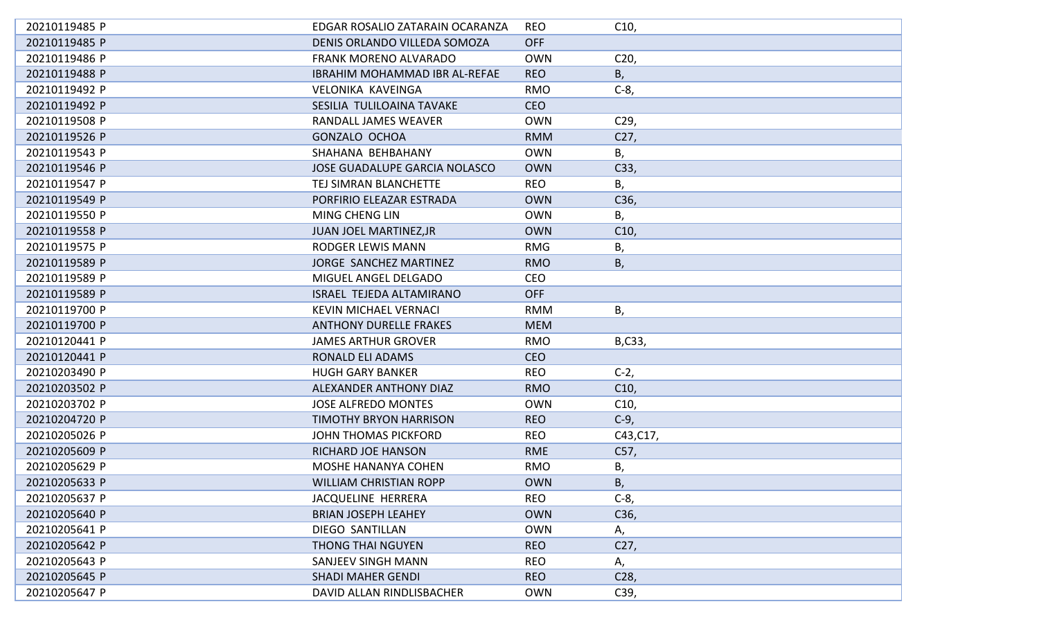| 20210119485 P | EDGAR ROSALIO ZATARAIN OCARANZA      | <b>REO</b> | C10,            |
|---------------|--------------------------------------|------------|-----------------|
| 20210119485 P | DENIS ORLANDO VILLEDA SOMOZA         | <b>OFF</b> |                 |
| 20210119486 P | <b>FRANK MORENO ALVARADO</b>         | <b>OWN</b> | C <sub>20</sub> |
| 20210119488 P | <b>IBRAHIM MOHAMMAD IBR AL-REFAE</b> | <b>REO</b> | В,              |
| 20210119492 P | VELONIKA KAVEINGA                    | <b>RMO</b> | $C-8$ ,         |
| 20210119492 P | SESILIA TULILOAINA TAVAKE            | <b>CEO</b> |                 |
| 20210119508 P | RANDALL JAMES WEAVER                 | <b>OWN</b> | C29,            |
| 20210119526 P | <b>GONZALO OCHOA</b>                 | <b>RMM</b> | C27,            |
| 20210119543 P | SHAHANA BEHBAHANY                    | <b>OWN</b> | В,              |
| 20210119546 P | <b>JOSE GUADALUPE GARCIA NOLASCO</b> | <b>OWN</b> | C33,            |
| 20210119547 P | TEJ SIMRAN BLANCHETTE                | <b>REO</b> | Β,              |
| 20210119549 P | PORFIRIO ELEAZAR ESTRADA             | <b>OWN</b> | C36,            |
| 20210119550 P | MING CHENG LIN                       | <b>OWN</b> | В,              |
| 20210119558 P | <b>JUAN JOEL MARTINEZ, JR</b>        | <b>OWN</b> | C10,            |
| 20210119575 P | <b>RODGER LEWIS MANN</b>             | <b>RMG</b> | В,              |
| 20210119589 P | JORGE SANCHEZ MARTINEZ               | <b>RMO</b> | Β,              |
| 20210119589 P | MIGUEL ANGEL DELGADO                 | <b>CEO</b> |                 |
| 20210119589 P | <b>ISRAEL TEJEDA ALTAMIRANO</b>      | <b>OFF</b> |                 |
| 20210119700 P | <b>KEVIN MICHAEL VERNACI</b>         | <b>RMM</b> | В,              |
| 20210119700 P | <b>ANTHONY DURELLE FRAKES</b>        | <b>MEM</b> |                 |
| 20210120441 P | <b>JAMES ARTHUR GROVER</b>           | <b>RMO</b> | B,C33,          |
| 20210120441 P | <b>RONALD ELI ADAMS</b>              | <b>CEO</b> |                 |
| 20210203490 P | <b>HUGH GARY BANKER</b>              | <b>REO</b> | $C-2,$          |
| 20210203502 P | ALEXANDER ANTHONY DIAZ               | <b>RMO</b> | C10,            |
| 20210203702 P | <b>JOSE ALFREDO MONTES</b>           | <b>OWN</b> | C10,            |
| 20210204720 P | <b>TIMOTHY BRYON HARRISON</b>        | <b>REO</b> | $C-9$ ,         |
| 20210205026 P | JOHN THOMAS PICKFORD                 | <b>REO</b> | C43, C17,       |
| 20210205609 P | RICHARD JOE HANSON                   | <b>RME</b> | C57,            |
| 20210205629 P | <b>MOSHE HANANYA COHEN</b>           | <b>RMO</b> | Β,              |
| 20210205633 P | <b>WILLIAM CHRISTIAN ROPP</b>        | <b>OWN</b> | Β,              |
| 20210205637 P | JACQUELINE HERRERA                   | <b>REO</b> | $C-8$ ,         |
| 20210205640 P | <b>BRIAN JOSEPH LEAHEY</b>           | <b>OWN</b> | C36,            |
| 20210205641 P | <b>DIEGO SANTILLAN</b>               | <b>OWN</b> | Α,              |
| 20210205642 P | <b>THONG THAI NGUYEN</b>             | <b>REO</b> | C27,            |
| 20210205643 P | SANJEEV SINGH MANN                   | <b>REO</b> | Α,              |
| 20210205645 P | <b>SHADI MAHER GENDI</b>             | <b>REO</b> | C <sub>28</sub> |
| 20210205647 P | DAVID ALLAN RINDLISBACHER            | <b>OWN</b> | C39,            |